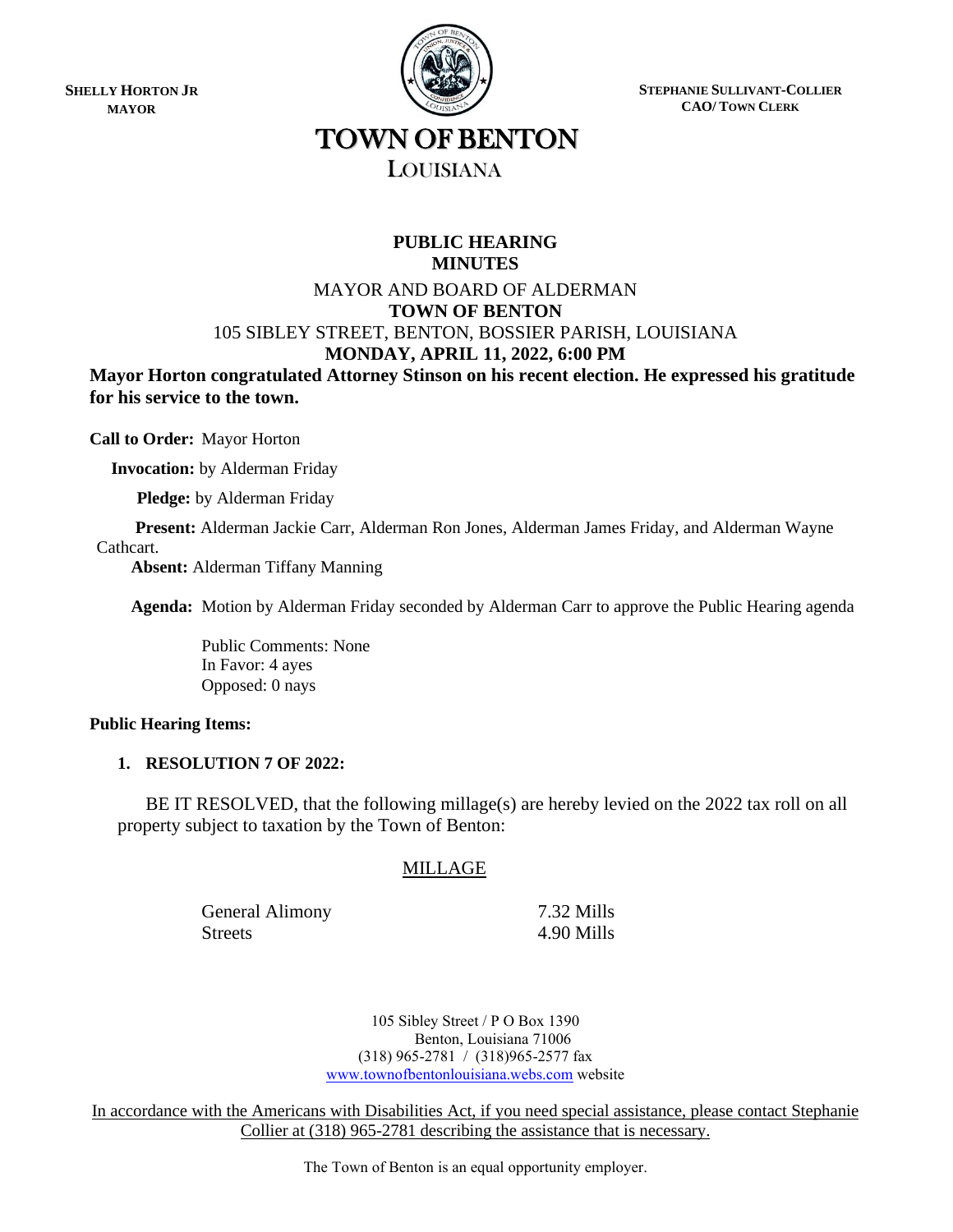**SHELLY HORTON JR MAYOR**



**STEPHANIE SULLIVANT-COLLIER CAO/ TOWN CLERK**

# TOWN OF BENTON LOUISIANA

## **PUBLIC HEARING MINUTES**

## MAYOR AND BOARD OF ALDERMAN **TOWN OF BENTON** 105 SIBLEY STREET, BENTON, BOSSIER PARISH, LOUISIANA **MONDAY, APRIL 11, 2022, 6:00 PM**

**Mayor Horton congratulated Attorney Stinson on his recent election. He expressed his gratitude for his service to the town.** 

**Call to Order:** Mayor Horton

 **Invocation:** by Alderman Friday

 **Pledge:** by Alderman Friday

 **Present:** Alderman Jackie Carr, Alderman Ron Jones, Alderman James Friday, and Alderman Wayne Cathcart.

 **Absent:** Alderman Tiffany Manning

**Agenda:** Motion by Alderman Friday seconded by Alderman Carr to approve the Public Hearing agenda

Public Comments: None In Favor: 4 ayes Opposed: 0 nays

## **Public Hearing Items:**

## **1. RESOLUTION 7 OF 2022:**

BE IT RESOLVED, that the following millage(s) are hereby levied on the 2022 tax roll on all property subject to taxation by the Town of Benton:

## MILLAGE

General Alimony 7.32 Mills Streets 4.90 Mills

105 Sibley Street / P O Box 1390 Benton, Louisiana 71006 (318) 965-2781 / (318)965-2577 fax [www.townofbentonlouisiana.webs.com](http://www.townofbentonlouisiana.webs.com/) website

In accordance with the Americans with Disabilities Act, if you need special assistance, please contact Stephanie Collier at (318) 965-2781 describing the assistance that is necessary.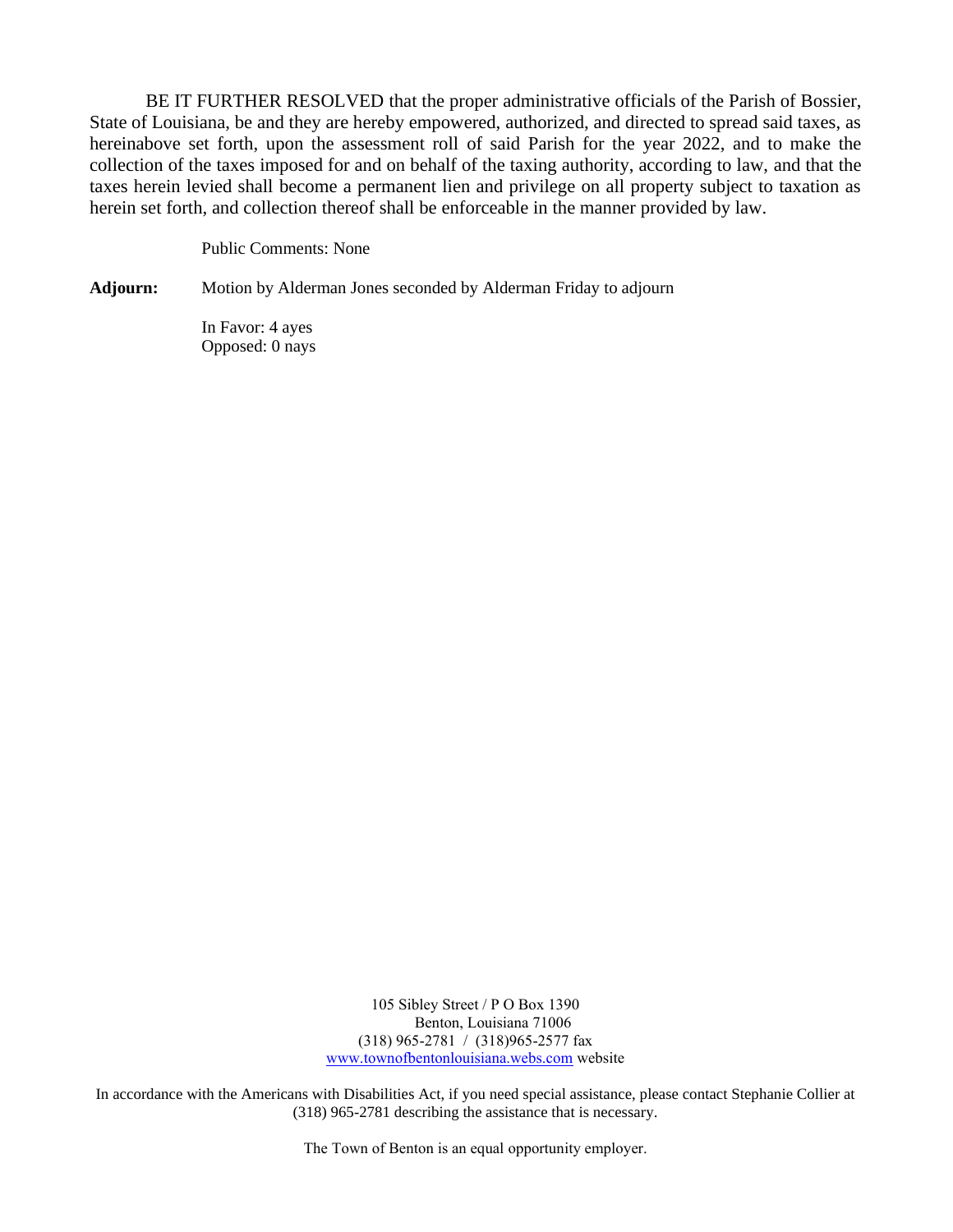BE IT FURTHER RESOLVED that the proper administrative officials of the Parish of Bossier, State of Louisiana, be and they are hereby empowered, authorized, and directed to spread said taxes, as hereinabove set forth, upon the assessment roll of said Parish for the year 2022, and to make the collection of the taxes imposed for and on behalf of the taxing authority, according to law, and that the taxes herein levied shall become a permanent lien and privilege on all property subject to taxation as herein set forth, and collection thereof shall be enforceable in the manner provided by law.

Public Comments: None

**Adjourn:** Motion by Alderman Jones seconded by Alderman Friday to adjourn

In Favor: 4 ayes Opposed: 0 nays

> 105 Sibley Street / P O Box 1390 Benton, Louisiana 71006 (318) 965-2781 / (318)965-2577 fax [www.townofbentonlouisiana.webs.com](http://www.townofbentonlouisiana.webs.com/) website

In accordance with the Americans with Disabilities Act, if you need special assistance, please contact Stephanie Collier at (318) 965-2781 describing the assistance that is necessary.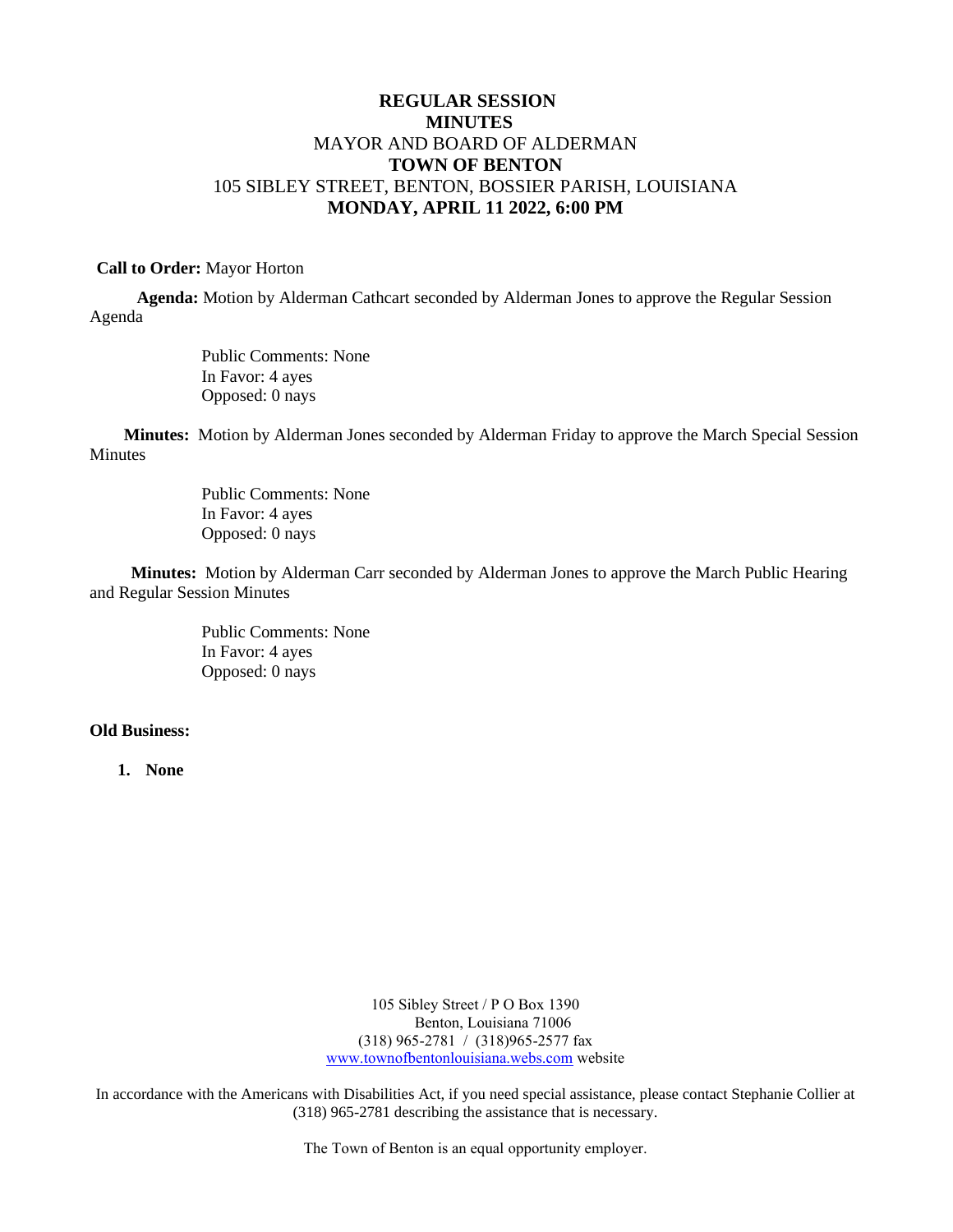## **REGULAR SESSION MINUTES** MAYOR AND BOARD OF ALDERMAN **TOWN OF BENTON** 105 SIBLEY STREET, BENTON, BOSSIER PARISH, LOUISIANA **MONDAY, APRIL 11 2022, 6:00 PM**

### **Call to Order:** Mayor Horton

 **Agenda:** Motion by Alderman Cathcart seconded by Alderman Jones to approve the Regular Session Agenda

> Public Comments: None In Favor: 4 ayes Opposed: 0 nays

 **Minutes:** Motion by Alderman Jones seconded by Alderman Friday to approve the March Special Session Minutes

> Public Comments: None In Favor: 4 ayes Opposed: 0 nays

 **Minutes:** Motion by Alderman Carr seconded by Alderman Jones to approve the March Public Hearing and Regular Session Minutes

> Public Comments: None In Favor: 4 ayes Opposed: 0 nays

## **Old Business:**

**1. None** 

105 Sibley Street / P O Box 1390 Benton, Louisiana 71006 (318) 965-2781 / (318)965-2577 fax [www.townofbentonlouisiana.webs.com](http://www.townofbentonlouisiana.webs.com/) website

In accordance with the Americans with Disabilities Act, if you need special assistance, please contact Stephanie Collier at (318) 965-2781 describing the assistance that is necessary.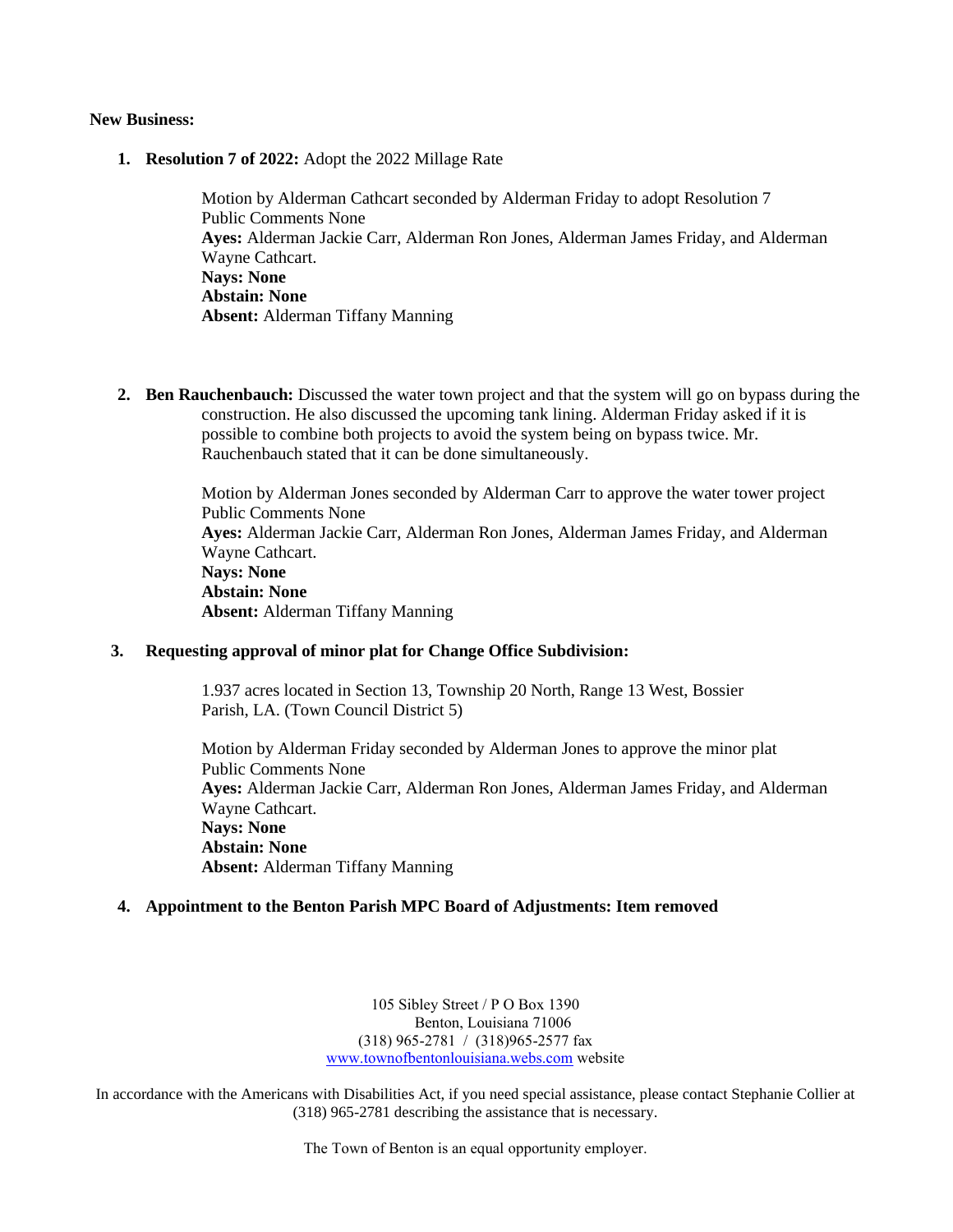#### **New Business:**

**1. Resolution 7 of 2022:** Adopt the 2022 Millage Rate

Motion by Alderman Cathcart seconded by Alderman Friday to adopt Resolution 7 Public Comments None **Ayes:** Alderman Jackie Carr, Alderman Ron Jones, Alderman James Friday, and Alderman Wayne Cathcart. **Nays: None Abstain: None Absent:** Alderman Tiffany Manning

**2. Ben Rauchenbauch:** Discussed the water town project and that the system will go on bypass during the construction. He also discussed the upcoming tank lining. Alderman Friday asked if it is possible to combine both projects to avoid the system being on bypass twice. Mr. Rauchenbauch stated that it can be done simultaneously.

> Motion by Alderman Jones seconded by Alderman Carr to approve the water tower project Public Comments None **Ayes:** Alderman Jackie Carr, Alderman Ron Jones, Alderman James Friday, and Alderman Wayne Cathcart. **Nays: None Abstain: None Absent:** Alderman Tiffany Manning

### **3. Requesting approval of minor plat for Change Office Subdivision:**

1.937 acres located in Section 13, Township 20 North, Range 13 West, Bossier Parish, LA. (Town Council District 5)

Motion by Alderman Friday seconded by Alderman Jones to approve the minor plat Public Comments None **Ayes:** Alderman Jackie Carr, Alderman Ron Jones, Alderman James Friday, and Alderman Wayne Cathcart. **Nays: None Abstain: None Absent:** Alderman Tiffany Manning

#### **4. Appointment to the Benton Parish MPC Board of Adjustments: Item removed**

105 Sibley Street / P O Box 1390 Benton, Louisiana 71006 (318) 965-2781 / (318)965-2577 fax [www.townofbentonlouisiana.webs.com](http://www.townofbentonlouisiana.webs.com/) website

In accordance with the Americans with Disabilities Act, if you need special assistance, please contact Stephanie Collier at (318) 965-2781 describing the assistance that is necessary.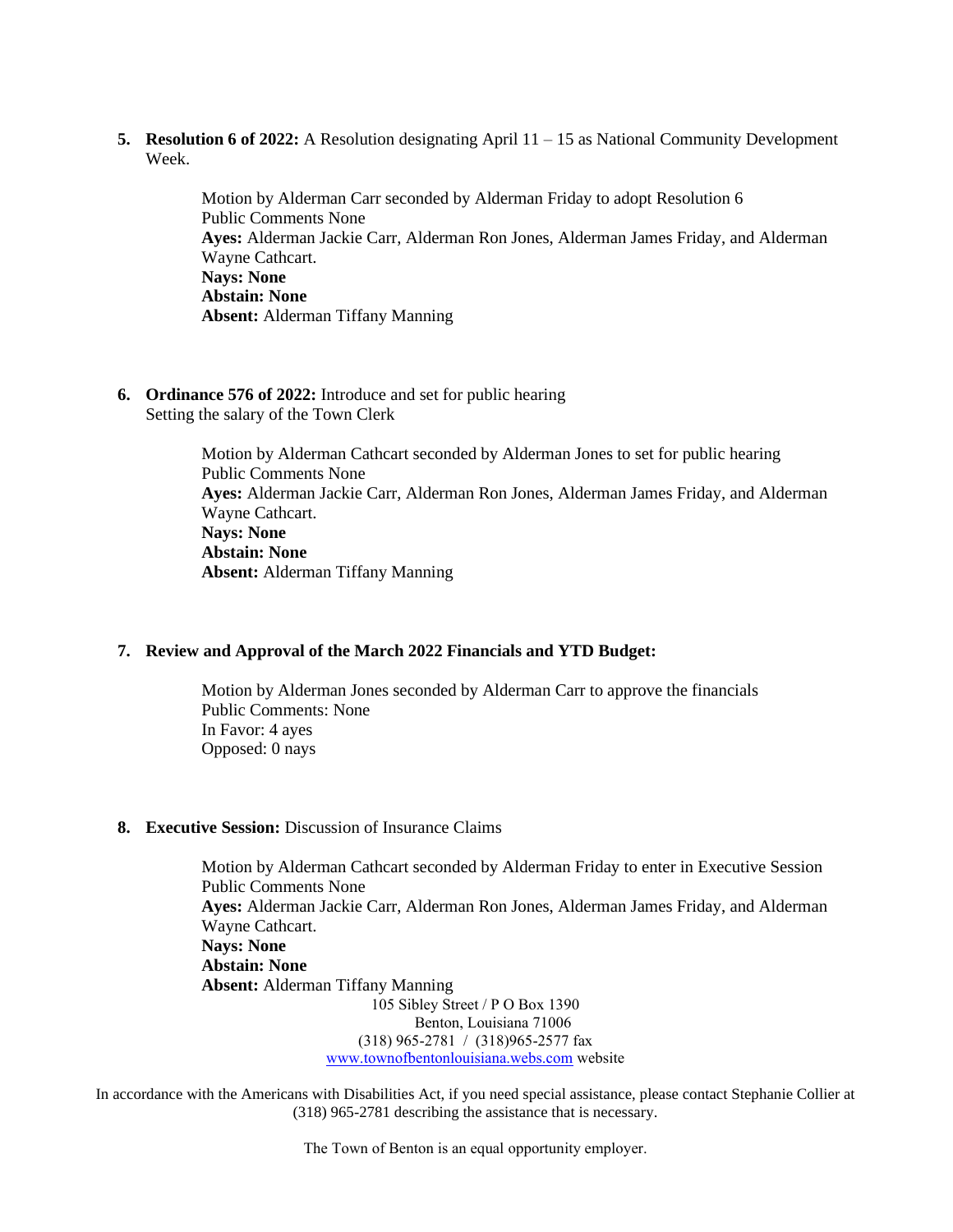**5. Resolution 6 of 2022:** A Resolution designating April 11 – 15 as National Community Development Week.

> Motion by Alderman Carr seconded by Alderman Friday to adopt Resolution 6 Public Comments None **Ayes:** Alderman Jackie Carr, Alderman Ron Jones, Alderman James Friday, and Alderman Wayne Cathcart. **Nays: None Abstain: None Absent:** Alderman Tiffany Manning

**6. Ordinance 576 of 2022:** Introduce and set for public hearing Setting the salary of the Town Clerk

> Motion by Alderman Cathcart seconded by Alderman Jones to set for public hearing Public Comments None **Ayes:** Alderman Jackie Carr, Alderman Ron Jones, Alderman James Friday, and Alderman Wayne Cathcart. **Nays: None Abstain: None Absent:** Alderman Tiffany Manning

## **7. Review and Approval of the March 2022 Financials and YTD Budget:**

Motion by Alderman Jones seconded by Alderman Carr to approve the financials Public Comments: None In Favor: 4 ayes Opposed: 0 nays

## **8. Executive Session:** Discussion of Insurance Claims

105 Sibley Street / P O Box 1390 Benton, Louisiana 71006 (318) 965-2781 / (318)965-2577 fax [www.townofbentonlouisiana.webs.com](http://www.townofbentonlouisiana.webs.com/) website Motion by Alderman Cathcart seconded by Alderman Friday to enter in Executive Session Public Comments None **Ayes:** Alderman Jackie Carr, Alderman Ron Jones, Alderman James Friday, and Alderman Wayne Cathcart. **Nays: None Abstain: None Absent:** Alderman Tiffany Manning

In accordance with the Americans with Disabilities Act, if you need special assistance, please contact Stephanie Collier at (318) 965-2781 describing the assistance that is necessary.